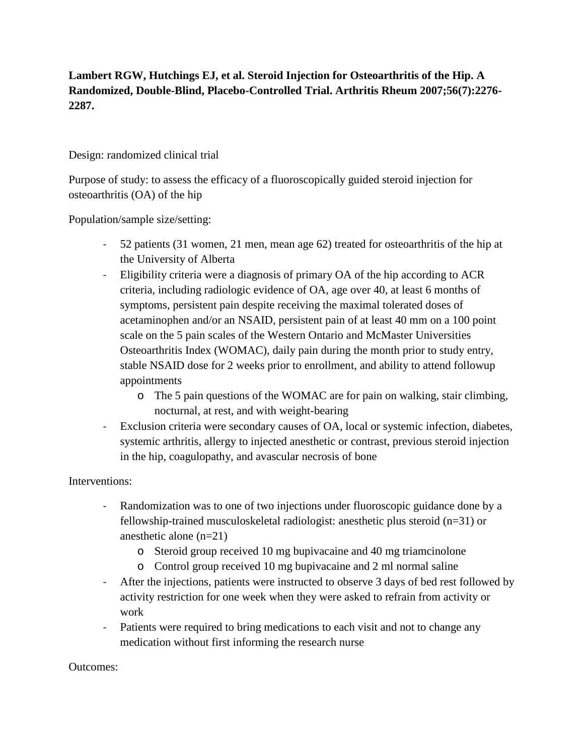**Lambert RGW, Hutchings EJ, et al. Steroid Injection for Osteoarthritis of the Hip. A Randomized, Double-Blind, Placebo-Controlled Trial. Arthritis Rheum 2007;56(7):2276- 2287.**

## Design: randomized clinical trial

Purpose of study: to assess the efficacy of a fluoroscopically guided steroid injection for osteoarthritis (OA) of the hip

Population/sample size/setting:

- 52 patients (31 women, 21 men, mean age 62) treated for osteoarthritis of the hip at the University of Alberta
- Eligibility criteria were a diagnosis of primary OA of the hip according to ACR criteria, including radiologic evidence of OA, age over 40, at least 6 months of symptoms, persistent pain despite receiving the maximal tolerated doses of acetaminophen and/or an NSAID, persistent pain of at least 40 mm on a 100 point scale on the 5 pain scales of the Western Ontario and McMaster Universities Osteoarthritis Index (WOMAC), daily pain during the month prior to study entry, stable NSAID dose for 2 weeks prior to enrollment, and ability to attend followup appointments
	- o The 5 pain questions of the WOMAC are for pain on walking, stair climbing, nocturnal, at rest, and with weight-bearing
- Exclusion criteria were secondary causes of OA, local or systemic infection, diabetes, systemic arthritis, allergy to injected anesthetic or contrast, previous steroid injection in the hip, coagulopathy, and avascular necrosis of bone

## Interventions:

- Randomization was to one of two injections under fluoroscopic guidance done by a fellowship-trained musculoskeletal radiologist: anesthetic plus steroid (n=31) or anesthetic alone (n=21)
	- o Steroid group received 10 mg bupivacaine and 40 mg triamcinolone
	- o Control group received 10 mg bupivacaine and 2 ml normal saline
- After the injections, patients were instructed to observe 3 days of bed rest followed by activity restriction for one week when they were asked to refrain from activity or work
- Patients were required to bring medications to each visit and not to change any medication without first informing the research nurse

## Outcomes: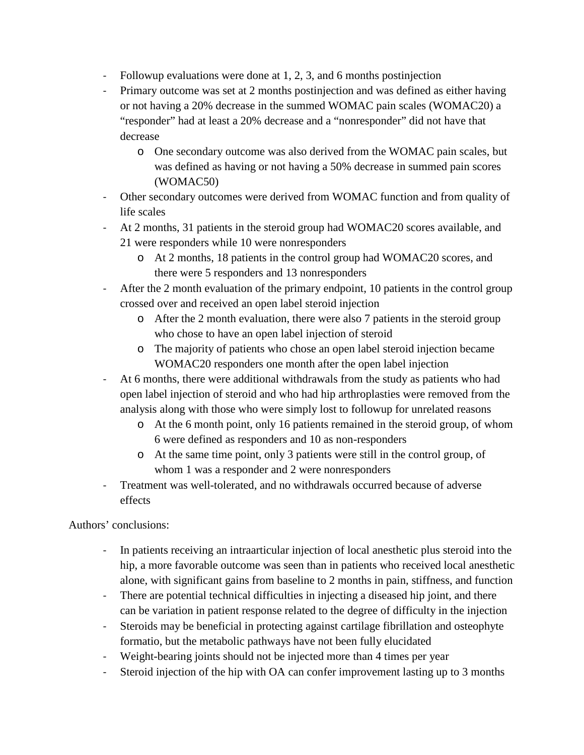- Followup evaluations were done at 1, 2, 3, and 6 months postinjection
- Primary outcome was set at 2 months postinjection and was defined as either having or not having a 20% decrease in the summed WOMAC pain scales (WOMAC20) a "responder" had at least a 20% decrease and a "nonresponder" did not have that decrease
	- o One secondary outcome was also derived from the WOMAC pain scales, but was defined as having or not having a 50% decrease in summed pain scores (WOMAC50)
- Other secondary outcomes were derived from WOMAC function and from quality of life scales
- At 2 months, 31 patients in the steroid group had WOMAC20 scores available, and 21 were responders while 10 were nonresponders
	- o At 2 months, 18 patients in the control group had WOMAC20 scores, and there were 5 responders and 13 nonresponders
- After the 2 month evaluation of the primary endpoint, 10 patients in the control group crossed over and received an open label steroid injection
	- o After the 2 month evaluation, there were also 7 patients in the steroid group who chose to have an open label injection of steroid
	- o The majority of patients who chose an open label steroid injection became WOMAC20 responders one month after the open label injection
- At 6 months, there were additional withdrawals from the study as patients who had open label injection of steroid and who had hip arthroplasties were removed from the analysis along with those who were simply lost to followup for unrelated reasons
	- o At the 6 month point, only 16 patients remained in the steroid group, of whom 6 were defined as responders and 10 as non-responders
	- o At the same time point, only 3 patients were still in the control group, of whom 1 was a responder and 2 were nonresponders
- Treatment was well-tolerated, and no withdrawals occurred because of adverse effects

Authors' conclusions:

- In patients receiving an intraarticular injection of local anesthetic plus steroid into the hip, a more favorable outcome was seen than in patients who received local anesthetic alone, with significant gains from baseline to 2 months in pain, stiffness, and function
- There are potential technical difficulties in injecting a diseased hip joint, and there can be variation in patient response related to the degree of difficulty in the injection
- Steroids may be beneficial in protecting against cartilage fibrillation and osteophyte formatio, but the metabolic pathways have not been fully elucidated
- Weight-bearing joints should not be injected more than 4 times per year
- Steroid injection of the hip with OA can confer improvement lasting up to 3 months